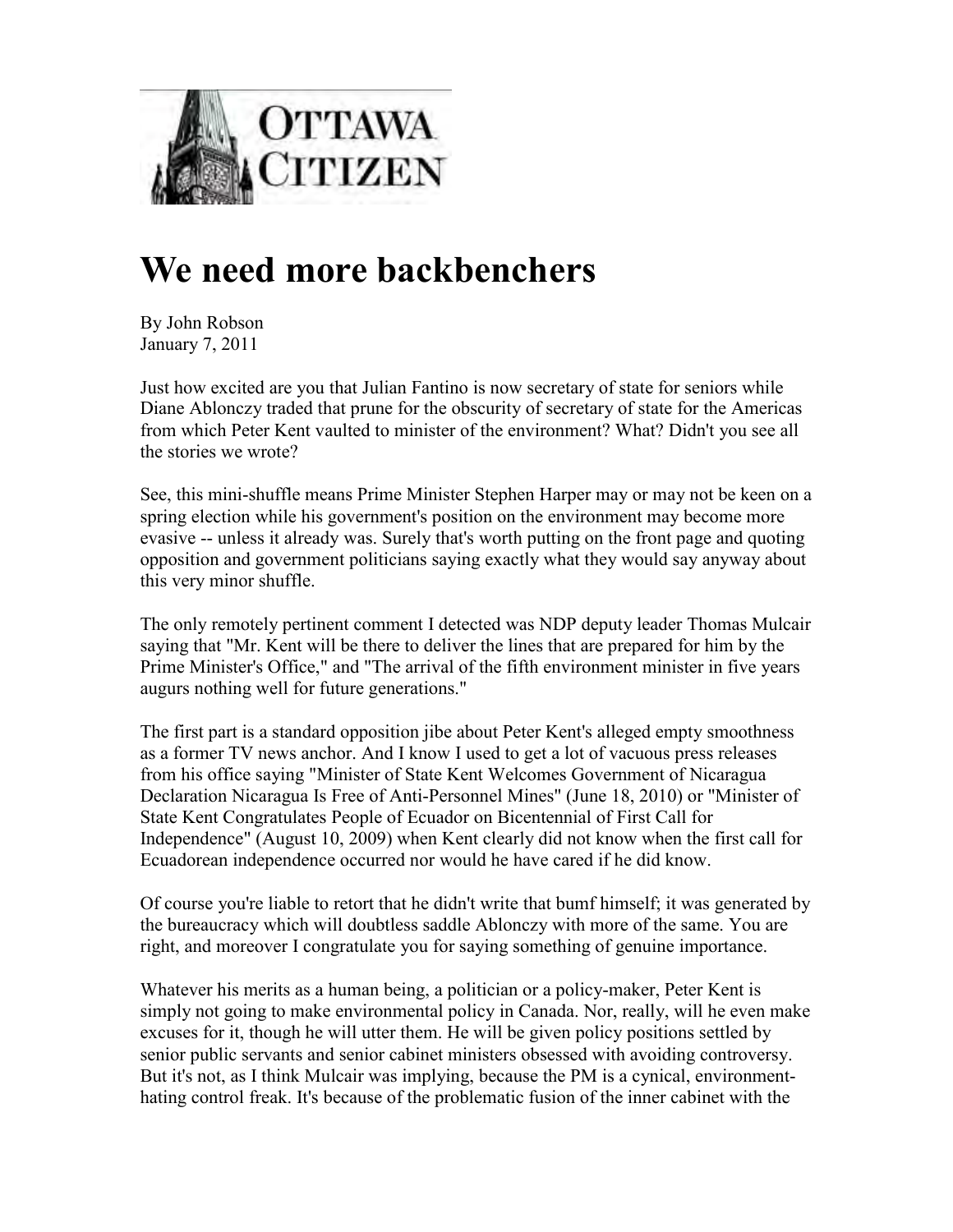

## **We need more backbenchers**

By John Robson January 7, 2011

Just how excited are you that Julian Fantino is now secretary of state for seniors while Diane Ablonczy traded that prune for the obscurity of secretary of state for the Americas from which Peter Kent vaulted to minister of the environment? What? Didn't you see all the stories we wrote?

See, this mini-shuffle means Prime Minister Stephen Harper may or may not be keen on a spring election while his government's position on the environment may become more evasive -- unless it already was. Surely that's worth putting on the front page and quoting opposition and government politicians saying exactly what they would say anyway about this very minor shuffle.

The only remotely pertinent comment I detected was NDP deputy leader Thomas Mulcair saying that "Mr. Kent will be there to deliver the lines that are prepared for him by the Prime Minister's Office," and "The arrival of the fifth environment minister in five years augurs nothing well for future generations."

The first part is a standard opposition jibe about Peter Kent's alleged empty smoothness as a former TV news anchor. And I know I used to get a lot of vacuous press releases from his office saying "Minister of State Kent Welcomes Government of Nicaragua Declaration Nicaragua Is Free of Anti-Personnel Mines" (June 18, 2010) or "Minister of State Kent Congratulates People of Ecuador on Bicentennial of First Call for Independence" (August 10, 2009) when Kent clearly did not know when the first call for Ecuadorean independence occurred nor would he have cared if he did know.

Of course you're liable to retort that he didn't write that bumf himself; it was generated by the bureaucracy which will doubtless saddle Ablonczy with more of the same. You are right, and moreover I congratulate you for saying something of genuine importance.

Whatever his merits as a human being, a politician or a policy-maker, Peter Kent is simply not going to make environmental policy in Canada. Nor, really, will he even make excuses for it, though he will utter them. He will be given policy positions settled by senior public servants and senior cabinet ministers obsessed with avoiding controversy. But it's not, as I think Mulcair was implying, because the PM is a cynical, environmenthating control freak. It's because of the problematic fusion of the inner cabinet with the